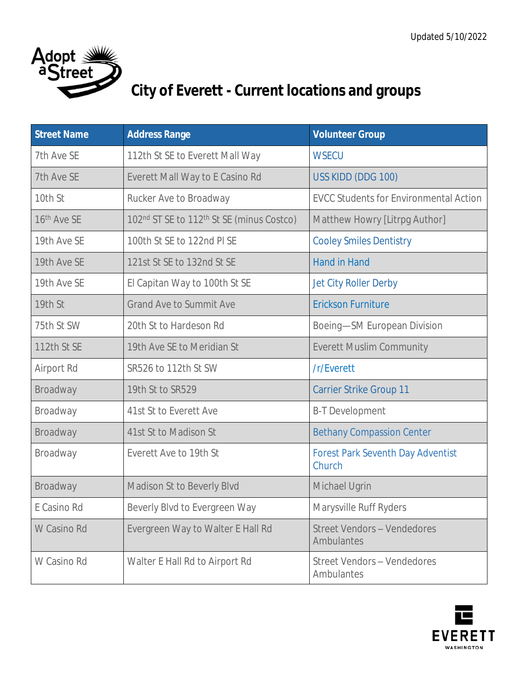

## **City of Everett - Current locations and groups**

| <b>Street Name</b> | <b>Address Range</b>                                  | <b>Volunteer Group</b>                             |
|--------------------|-------------------------------------------------------|----------------------------------------------------|
| 7th Ave SE         | 112th St SE to Everett Mall Way                       | <b>WSECU</b>                                       |
| 7th Ave SE         | Everett Mall Way to E Casino Rd                       | USS KIDD (DDG 100)                                 |
| 10th St            | Rucker Ave to Broadway                                | <b>EVCC Students for Environmental Action</b>      |
| 16th Ave SE        | 102nd ST SE to 112 <sup>th</sup> St SE (minus Costco) | Matthew Howry [Litrpg Author]                      |
| 19th Ave SE        | 100th St SE to 122nd PI SE                            | <b>Cooley Smiles Dentistry</b>                     |
| 19th Ave SE        | 121st St SE to 132nd St SE                            | <b>Hand in Hand</b>                                |
| 19th Ave SE        | El Capitan Way to 100th St SE                         | Jet City Roller Derby                              |
| 19th St            | <b>Grand Ave to Summit Ave</b>                        | <b>Erickson Furniture</b>                          |
| 75th St SW         | 20th St to Hardeson Rd                                | Boeing-SM European Division                        |
| 112th St SE        | 19th Ave SE to Meridian St                            | <b>Everett Muslim Community</b>                    |
| Airport Rd         | SR526 to 112th St SW                                  | /r/Everett                                         |
| Broadway           | 19th St to SR529                                      | <b>Carrier Strike Group 11</b>                     |
| Broadway           | 41st St to Everett Ave                                | <b>B-T Development</b>                             |
| Broadway           | 41st St to Madison St                                 | <b>Bethany Compassion Center</b>                   |
| Broadway           | Everett Ave to 19th St                                | <b>Forest Park Seventh Day Adventist</b><br>Church |
| Broadway           | Madison St to Beverly Blvd                            | Michael Ugrin                                      |
| E Casino Rd        | Beverly Blvd to Evergreen Way                         | Marysville Ruff Ryders                             |
| W Casino Rd        | Evergreen Way to Walter E Hall Rd                     | <b>Street Vendors - Vendedores</b><br>Ambulantes   |
| W Casino Rd        | Walter E Hall Rd to Airport Rd                        | <b>Street Vendors - Vendedores</b><br>Ambulantes   |

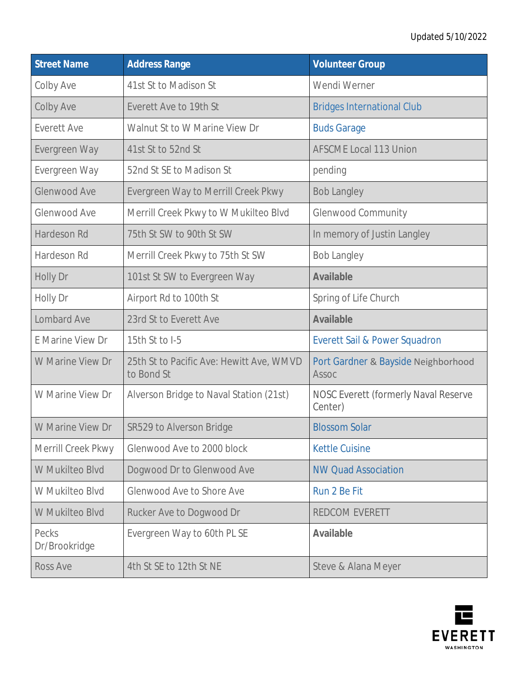## Updated 5/10/2022

| <b>Street Name</b>     | <b>Address Range</b>                                   | <b>Volunteer Group</b>                          |
|------------------------|--------------------------------------------------------|-------------------------------------------------|
| Colby Ave              | 41st St to Madison St                                  | Wendi Werner                                    |
| Colby Ave              | Everett Ave to 19th St                                 | <b>Bridges International Club</b>               |
| <b>Everett Ave</b>     | Walnut St to W Marine View Dr                          | <b>Buds Garage</b>                              |
| Evergreen Way          | 41st St to 52nd St                                     | <b>AFSCME Local 113 Union</b>                   |
| Evergreen Way          | 52nd St SE to Madison St                               | pending                                         |
| Glenwood Ave           | Evergreen Way to Merrill Creek Pkwy                    | <b>Bob Langley</b>                              |
| Glenwood Ave           | Merrill Creek Pkwy to W Mukilteo Blvd                  | <b>Glenwood Community</b>                       |
| Hardeson Rd            | 75th St SW to 90th St SW                               | In memory of Justin Langley                     |
| Hardeson Rd            | Merrill Creek Pkwy to 75th St SW                       | <b>Bob Langley</b>                              |
| Holly Dr               | 101st St SW to Evergreen Way                           | <b>Available</b>                                |
| Holly Dr               | Airport Rd to 100th St                                 | Spring of Life Church                           |
| Lombard Ave            | 23rd St to Everett Ave                                 | <b>Available</b>                                |
| E Marine View Dr       | 15th St to I-5                                         | Everett Sail & Power Squadron                   |
| W Marine View Dr       | 25th St to Pacific Ave: Hewitt Ave, WMVD<br>to Bond St | Port Gardner & Bayside Neighborhood<br>Assoc    |
| W Marine View Dr       | Alverson Bridge to Naval Station (21st)                | NOSC Everett (formerly Naval Reserve<br>Center) |
| W Marine View Dr       | SR529 to Alverson Bridge                               | <b>Blossom Solar</b>                            |
| Merrill Creek Pkwy     | Glenwood Ave to 2000 block                             | <b>Kettle Cuisine</b>                           |
| W Mukilteo Blvd        | Dogwood Dr to Glenwood Ave                             | <b>NW Quad Association</b>                      |
| W Mukilteo Blvd        | Glenwood Ave to Shore Ave                              | Run 2 Be Fit                                    |
| W Mukilteo Blvd        | Rucker Ave to Dogwood Dr                               | REDCOM EVERETT                                  |
| Pecks<br>Dr/Brookridge | Evergreen Way to 60th PL SE                            | <b>Available</b>                                |
| Ross Ave               | 4th St SE to 12th St NE                                | Steve & Alana Meyer                             |